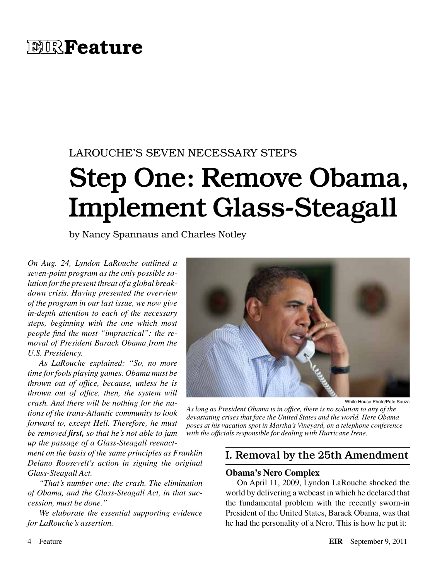# **EIRFeature**

# LAROUCHE'S SEVEN NECESSARY STEPS

# Step One: Remove Obama, Implement Glass-Steagall

by Nancy Spannaus and Charles Notley

*On Aug. 24, Lyndon LaRouche outlined a seven-point program as the only possible solution for the present threat of a global breakdown crisis. Having presented the overview of the program in our last issue, we now give in-depth attention to each of the necessary steps, beginning with the one which most people find the most "impractical": the removal of President Barack Obama from the U.S. Presidency.*

*As LaRouche explained: "So, no more time for fools playing games. Obama must be thrown out of office, because, unless he is thrown out of office, then, the system will crash. And there will be nothing for the nations of the trans-Atlantic community to look forward to, except Hell. Therefore, he must be removed first, so that he's not able to jam up the passage of a Glass-Steagall reenact-*

*ment on the basis of the same principles as Franklin Delano Roosevelt's action in signing the original Glass-Steagall Act.*

*"That's number one: the crash. The elimination of Obama, and the Glass-Steagall Act, in that succession, must be done."*

*We elaborate the essential supporting evidence for LaRouche's assertion.*



White House Photo/Pete Souza

*As long as President Obama is in office, there is no solution to any of the devastating crises that face the United States and the world. Here Obama poses at his vacation spot in Martha's Vineyard, on a telephone conference with the officials responsible for dealing with Hurricane Irene.*

### I. Removal by the 25th Amendment

#### **Obama's Nero Complex**

On April 11, 2009, Lyndon LaRouche shocked the world by delivering a webcast in which he declared that the fundamental problem with the recently sworn-in President of the United States, Barack Obama, was that he had the personality of a Nero. This is how he put it: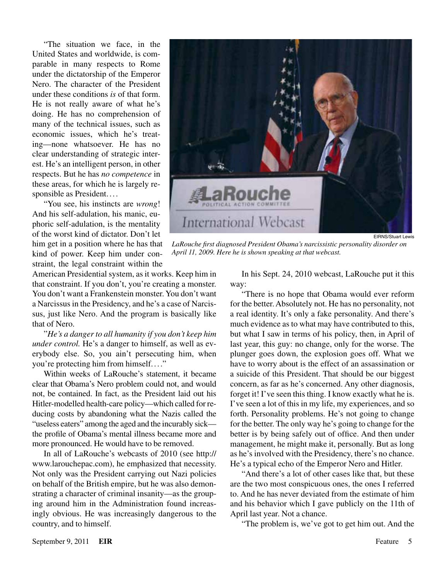"The situation we face, in the United States and worldwide, is comparable in many respects to Rome under the dictatorship of the Emperor Nero. The character of the President under these conditions *is* of that form. He is not really aware of what he's doing. He has no comprehension of many of the technical issues, such as economic issues, which he's treating—none whatsoever. He has no clear understanding of strategic interest. He's an intelligent person, in other respects. But he has *no competence* in these areas, for which he is largely responsible as President....

"You see, his instincts are *wrong*! And his self-adulation, his manic, euphoric self-adulation, is the mentality of the worst kind of dictator. Don't let him get in a position where he has that kind of power. Keep him under constraint, the legal constraint within the

American Presidential system, as it works. Keep him in that constraint. If you don't, you're creating a monster. You don't want a Frankenstein monster. You don't want a Narcissus in the Presidency, and he's a case of Narcissus, just like Nero. And the program is basically like that of Nero.

"*He's a danger to all humanity if you don't keep him under control.* He's a danger to himself, as well as everybody else. So, you ain't persecuting him, when you're protecting him from himself...."

Within weeks of LaRouche's statement, it became clear that Obama's Nero problem could not, and would not, be contained. In fact, as the President laid out his Hitler-modelled health-care policy—which called for reducing costs by abandoning what the Nazis called the "useless eaters" among the aged and the incurably sick the profile of Obama's mental illness became more and more pronounced. He would have to be removed.

In all of LaRouche's webcasts of 2010 (see http:// www.larouchepac.com), he emphasized that necessity. Not only was the President carrying out Nazi policies on behalf of the British empire, but he was also demonstrating a character of criminal insanity—as the grouping around him in the Administration found increasingly obvious. He was increasingly dangerous to the country, and to himself.



EIRNS/Stuart Lewis

*LaRouche first diagnosed President Obama's narcissistic personality disorder on April 11, 2009. Here he is shown speaking at that webcast.*

In his Sept. 24, 2010 webcast, LaRouche put it this way:

"There is no hope that Obama would ever reform for the better. Absolutely not. He has no personality, not a real identity. It's only a fake personality. And there's much evidence as to what may have contributed to this, but what I saw in terms of his policy, then, in April of last year, this guy: no change, only for the worse. The plunger goes down, the explosion goes off. What we have to worry about is the effect of an assassination or a suicide of this President. That should be our biggest concern, as far as he's concerned. Any other diagnosis, forget it! I've seen this thing. I know exactly what he is. I've seen a lot of this in my life, my experiences, and so forth. Personality problems. He's not going to change for the better. The only way he's going to change for the better is by being safely out of office. And then under management, he might make it, personally. But as long as he's involved with the Presidency, there's no chance. He's a typical echo of the Emperor Nero and Hitler.

"And there's a lot of other cases like that, but these are the two most conspicuous ones, the ones I referred to. And he has never deviated from the estimate of him and his behavior which I gave publicly on the 11th of April last year. Not a chance.

"The problem is, we've got to get him out. And the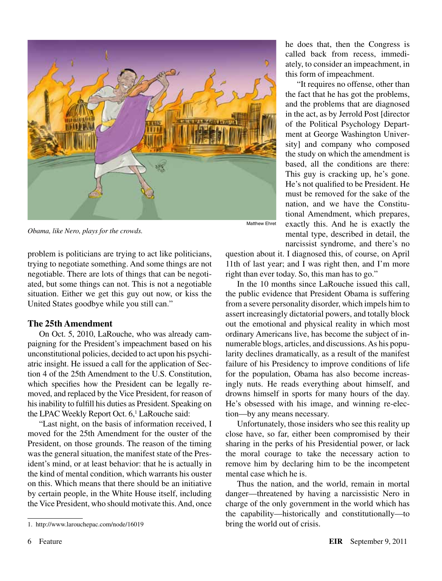

*Obama, like Nero, plays for the crowds.*

problem is politicians are trying to act like politicians, trying to negotiate something. And some things are not negotiable. There are lots of things that can be negotiated, but some things can not. This is not a negotiable situation. Either we get this guy out now, or kiss the United States goodbye while you still can."

#### **The 25th Amendment**

On Oct. 5, 2010, LaRouche, who was already campaigning for the President's impeachment based on his unconstitutional policies, decided to act upon his psychiatric insight. He issued a call for the application of Section 4 of the 25th Amendment to the U.S. Constitution, which specifies how the President can be legally removed, and replaced by the Vice President, for reason of his inability to fulfill his duties as President. Speaking on the LPAC Weekly Report Oct. 6,<sup>1</sup> LaRouche said:

"Last night, on the basis of information received, I moved for the 25th Amendment for the ouster of the President, on those grounds. The reason of the timing was the general situation, the manifest state of the President's mind, or at least behavior: that he is actually in the kind of mental condition, which warrants his ouster on this. Which means that there should be an initiative by certain people, in the White House itself, including the Vice President, who should motivate this. And, once he does that, then the Congress is called back from recess, immediately, to consider an impeachment, in this form of impeachment.

"It requires no offense, other than the fact that he has got the problems, and the problems that are diagnosed in the act, as by Jerrold Post [director of the Political Psychology Department at George Washington University] and company who composed the study on which the amendment is based, all the conditions are there: This guy is cracking up, he's gone. He's not qualified to be President. He must be removed for the sake of the nation, and we have the Constitutional Amendment, which prepares, exactly this. And he is exactly the mental type, described in detail, the narcissist syndrome, and there's no

question about it. I diagnosed this, of course, on April 11th of last year; and I was right then, and I'm more right than ever today. So, this man has to go."

In the 10 months since LaRouche issued this call, the public evidence that President Obama is suffering from a severe personality disorder, which impels him to assert increasingly dictatorial powers, and totally block out the emotional and physical reality in which most ordinary Americans live, has become the subject of innumerable blogs, articles, and discussions. As his popularity declines dramatically, as a result of the manifest failure of his Presidency to improve conditions of life for the population, Obama has also become increasingly nuts. He reads everything about himself, and drowns himself in sports for many hours of the day. He's obsessed with his image, and winning re-election—by any means necessary.

Unfortunately, those insiders who see this reality up close have, so far, either been compromised by their sharing in the perks of his Presidential power, or lack the moral courage to take the necessary action to remove him by declaring him to be the incompetent mental case which he is.

Thus the nation, and the world, remain in mortal danger—threatened by having a narcissistic Nero in charge of the only government in the world which has the capability—historically and constitutionally—to bring the world out of crisis.

<sup>1.</sup> http://www.larouchepac.com/node/16019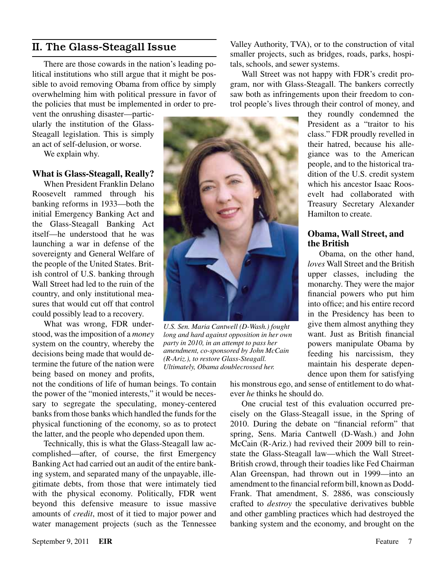# II. The Glass-Steagall Issue

There are those cowards in the nation's leading political institutions who still argue that it might be possible to avoid removing Obama from office by simply overwhelming him with political pressure in favor of the policies that must be implemented in order to pre-

vent the onrushing disaster—particularly the institution of the Glass-Steagall legislation. This is simply an act of self-delusion, or worse.

We explain why.

#### **What is Glass-Steagall, Really?**

When President Franklin Delano Roosevelt rammed through his banking reforms in 1933—both the initial Emergency Banking Act and the Glass-Steagall Banking Act itself—he understood that he was launching a war in defense of the sovereignty and General Welfare of the people of the United States. British control of U.S. banking through Wall Street had led to the ruin of the country, and only institutional measures that would cut off that control could possibly lead to a recovery.

What was wrong, FDR understood, was the imposition of a *money* system on the country, whereby the decisions being made that would determine the future of the nation were being based on money and profits,

not the conditions of life of human beings. To contain the power of the "monied interests," it would be necessary to segregate the speculating, money-centered banks from those banks which handled the funds for the physical functioning of the economy, so as to protect the latter, and the people who depended upon them.

Technically, this is what the Glass-Steagall law accomplished—after, of course, the first Emergency Banking Act had carried out an audit of the entire banking system, and separated many of the unpayable, illegitimate debts, from those that were intimately tied with the physical economy. Politically, FDR went beyond this defensive measure to issue massive amounts of *credit*, most of it tied to major power and water management projects (such as the Tennessee

Valley Authority, TVA), or to the construction of vital smaller projects, such as bridges, roads, parks, hospitals, schools, and sewer systems.

Wall Street was not happy with FDR's credit program, nor with Glass-Steagall. The bankers correctly saw both as infringements upon their freedom to control people's lives through their control of money, and

> they roundly condemned the President as a "traitor to his class." FDR proudly revelled in their hatred, because his allegiance was to the American people, and to the historical tradition of the U.S. credit system which his ancestor Isaac Roosevelt had collaborated with Treasury Secretary Alexander Hamilton to create.

#### **Obama, Wall Street, and the British**

Obama, on the other hand, *loves* Wall Street and the British upper classes, including the monarchy. They were the major financial powers who put him into office; and his entire record in the Presidency has been to give them almost anything they want. Just as British financial powers manipulate Obama by feeding his narcissism, they maintain his desperate dependence upon them for satisfying

his monstrous ego, and sense of entitlement to do whatever *he* thinks he should do.

One crucial test of this evaluation occurred precisely on the Glass-Steagall issue, in the Spring of 2010. During the debate on "financial reform" that spring, Sens. Maria Cantwell (D-Wash.) and John McCain (R-Ariz.) had revived their 2009 bill to reinstate the Glass-Steagall law—which the Wall Street-British crowd, through their toadies like Fed Chairman Alan Greenspan, had thrown out in 1999—into an amendment to the financial reform bill, known as Dodd-Frank. That amendment, S. 2886, was consciously crafted to *destroy* the speculative derivatives bubble and other gambling practices which had destroyed the banking system and the economy, and brought on the



*U.S. Sen. Maria Cantwell (D-Wash.) fought long and hard against opposition in her own party in 2010, in an attempt to pass her amendment, co-sponsored by John McCain (R-Ariz.), to restore Glass-Steagall. Ultimately, Obama doublecrossed her.*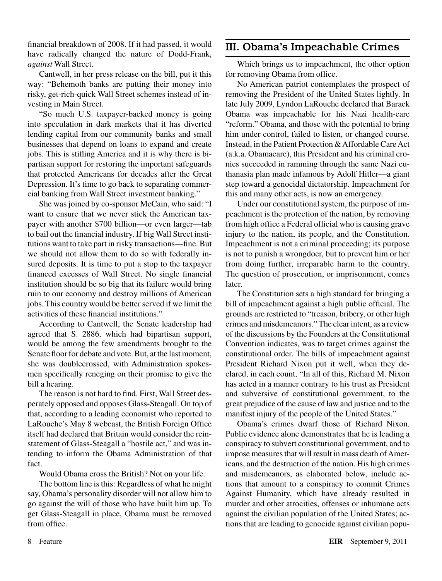financial breakdown of 2008. If it had passed, it would have radically changed the nature of Dodd-Frank, *against* Wall Street.

Cantwell, in her press release on the bill, put it this way: "Behemoth banks are putting their money into risky, get-rich-quick Wall Street schemes instead of investing in Main Street.

"So much U.S. taxpayer-backed money is going into speculation in dark markets that it has diverted lending capital from our community banks and small businesses that depend on loans to expand and create jobs. This is stifling America and it is why there is bipartisan support for restoring the important safeguards that protected Americans for decades after the Great Depression. It's time to go back to separating commercial banking from Wall Street investment banking."

She was joined by co-sponsor McCain, who said: "I want to ensure that we never stick the American taxpayer with another \$700 billion—or even larger—tab to bail out the financial industry. If big Wall Street institutions want to take part in risky transactions—fine. But we should not allow them to do so with federally insured deposits. It is time to put a stop to the taxpayer financed excesses of Wall Street. No single financial institution should be so big that its failure would bring ruin to our economy and destroy millions of American jobs. This country would be better served if we limit the activities of these financial institutions."

According to Cantwell, the Senate leadership had agreed that S. 2886, which had bipartisan support, would be among the few amendments brought to the Senate floor for debate and vote. But, at the last moment, she was doublecrossed, with Administration spokesmen specifically reneging on their promise to give the bill a hearing.

The reason is not hard to find. First, Wall Street desperately opposed and opposes Glass-Steagall. On top of that, according to a leading economist who reported to LaRouche's May 8 webcast, the British Foreign Office itself had declared that Britain would consider the reinstatement of Glass-Steagall a "hostile act," and was intending to inform the Obama Administration of that fact.

Would Obama cross the British? Not on your life.

The bottom line is this: Regardless of what he might say, Obama's personality disorder will not allow him to go against the will of those who have built him up. To get Glass-Steagall in place, Obama must be removed from office.

## III. Obama's Impeachable Crimes

Which brings us to impeachment, the other option for removing Obama from office.

No American patriot contemplates the prospect of removing the President of the United States lightly. In late July 2009, Lyndon LaRouche declared that Barack Obama was impeachable for his Nazi health-care "reform." Obama, and those with the potential to bring him under control, failed to listen, or changed course. Instead, in the Patient Protection & Affordable Care Act (a.k.a. Obamacare), this President and his criminal cronies succeeded in ramming through the same Nazi euthanasia plan made infamous by Adolf Hitler—a giant step toward a genocidal dictatorship. Impeachment for this and many other acts, is now an emergency.

Under our constitutional system, the purpose of impeachment is the protection of the nation, by removing from high office a Federal official who is causing grave injury to the nation, its people, and the Constitution. Impeachment is not a criminal proceeding; its purpose is not to punish a wrongdoer, but to prevent him or her from doing further, irreparable harm to the country. The question of prosecution, or imprisonment, comes later.

The Constitution sets a high standard for bringing a bill of impeachment against a high public official. The grounds are restricted to "treason, bribery, or other high crimes and misdemeanors." The clear intent, as a review of the discussions by the Founders at the Constitutional Convention indicates, was to target crimes against the constitutional order. The bills of impeachment against President Richard Nixon put it well, when they declared, in each count, "In all of this, Richard M. Nixon has acted in a manner contrary to his trust as President and subversive of constitutional government, to the great prejudice of the cause of law and justice and to the manifest injury of the people of the United States."

Obama's crimes dwarf those of Richard Nixon. Public evidence alone demonstrates that he is leading a conspiracy to subvert constitutional government, and to impose measures that will result in mass death of Americans, and the destruction of the nation. His high crimes and misdemeanors, as elaborated below, include actions that amount to a conspiracy to commit Crimes Against Humanity, which have already resulted in murder and other atrocities, offenses or inhumane acts against the civilian population of the United States; actions that are leading to genocide against civilian popu-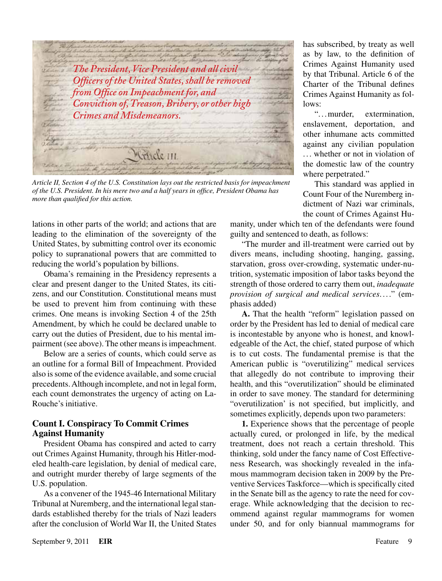*The President, Vice President and all civil Officers of the United States, shall be removed from Office on Impeachment for, and Conviction of, Treason, Bribery, or other high Crimes and Misdemeanors.*Mrticle III

*Article II, Section 4 of the U.S. Constitution lays out the restricted basis for impeachment of the U.S. President. In his mere two and a half years in office, President Obama has more than qualified for this action.*

lations in other parts of the world; and actions that are leading to the elimination of the sovereignty of the United States, by submitting control over its economic policy to supranational powers that are committed to reducing the world's population by billions.

Obama's remaining in the Presidency represents a clear and present danger to the United States, its citizens, and our Constitution. Constitutional means must be used to prevent him from continuing with these crimes. One means is invoking Section 4 of the 25th Amendment, by which he could be declared unable to carry out the duties of President, due to his mental impairment (see above). The other means is impeachment.

Below are a series of counts, which could serve as an outline for a formal Bill of Impeachment. Provided also is some of the evidence available, and some crucial precedents. Although incomplete, and not in legal form, each count demonstrates the urgency of acting on La-Rouche's initiative.

#### **Count I. Conspiracy To Commit Crimes Against Humanity**

President Obama has conspired and acted to carry out Crimes Against Humanity, through his Hitler-modeled health-care legislation, by denial of medical care, and outright murder thereby of large segments of the U.S. population.

As a convener of the 1945-46 International Military Tribunal at Nuremberg, and the international legal standards established thereby for the trials of Nazi leaders after the conclusion of World War II, the United States

has subscribed, by treaty as well as by law, to the definition of Crimes Against Humanity used by that Tribunal. Article 6 of the Charter of the Tribunal defines Crimes Against Humanity as follows:

". ..murder, extermination, enslavement, deportation, and other inhumane acts committed against any civilian population ... whether or not in violation of the domestic law of the country where perpetrated."

This standard was applied in Count Four of the Nuremberg indictment of Nazi war criminals, the count of Crimes Against Hu-

manity, under which ten of the defendants were found guilty and sentenced to death, as follows:

"The murder and ill-treatment were carried out by divers means, including shooting, hanging, gassing, starvation, gross over-crowding, systematic under-nutrition, systematic imposition of labor tasks beyond the strength of those ordered to carry them out, *inadequate provision of surgical and medical services*...." (emphasis added)

**A.** That the health "reform" legislation passed on order by the President has led to denial of medical care is incontestable by anyone who is honest, and knowledgeable of the Act, the chief, stated purpose of which is to cut costs. The fundamental premise is that the American public is "overutilizing" medical services that allegedly do not contribute to improving their health, and this "overutilization" should be eliminated in order to save money. The standard for determining "overutilization' is not specified, but implicitly, and sometimes explicitly, depends upon two parameters:

**1.** Experience shows that the percentage of people actually cured, or prolonged in life, by the medical treatment, does not reach a certain threshold. This thinking, sold under the fancy name of Cost Effectiveness Research, was shockingly revealed in the infamous mammogram decision taken in 2009 by the Preventive Services Taskforce—which is specifically cited in the Senate bill as the agency to rate the need for coverage. While acknowledging that the decision to recommend against regular mammograms for women under 50, and for only biannual mammograms for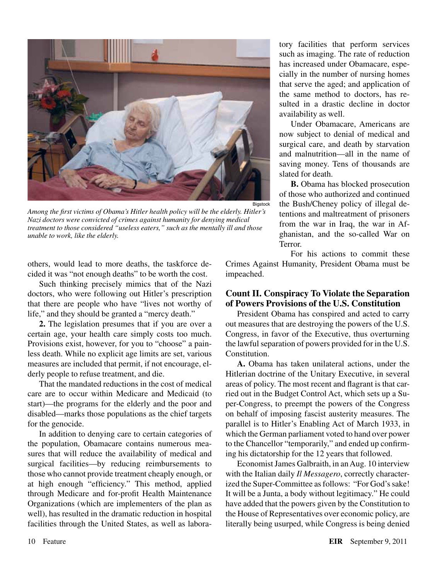

*Among the first victims of Obama's Hitler health policy will be the elderly. Hitler's Nazi doctors were convicted of crimes against humanity for denying medical treatment to those considered "useless eaters," such as the mentally ill and those unable to work, like the elderly.*

others, would lead to more deaths, the taskforce decided it was "not enough deaths" to be worth the cost.

Such thinking precisely mimics that of the Nazi doctors, who were following out Hitler's prescription that there are people who have "lives not worthy of life," and they should be granted a "mercy death."

**2.** The legislation presumes that if you are over a certain age, your health care simply costs too much. Provisions exist, however, for you to "choose" a painless death. While no explicit age limits are set, various measures are included that permit, if not encourage, elderly people to refuse treatment, and die.

That the mandated reductions in the cost of medical care are to occur within Medicare and Medicaid (to start)—the programs for the elderly and the poor and disabled—marks those populations as the chief targets for the genocide.

In addition to denying care to certain categories of the population, Obamacare contains numerous measures that will reduce the availability of medical and surgical facilities—by reducing reimbursements to those who cannot provide treatment cheaply enough, or at high enough "efficiency." This method, applied through Medicare and for-profit Health Maintenance Organizations (which are implementers of the plan as well), has resulted in the dramatic reduction in hospital facilities through the United States, as well as labora-

tory facilities that perform services such as imaging. The rate of reduction has increased under Obamacare, especially in the number of nursing homes that serve the aged; and application of the same method to doctors, has resulted in a drastic decline in doctor availability as well.

Under Obamacare, Americans are now subject to denial of medical and surgical care, and death by starvation and malnutrition—all in the name of saving money. Tens of thousands are slated for death.

**B.** Obama has blocked prosecution of those who authorized and continued the Bush/Cheney policy of illegal detentions and maltreatment of prisoners from the war in Iraq, the war in Afghanistan, and the so-called War on Terror.

For his actions to commit these Crimes Against Humanity, President Obama must be impeached.

#### **Count II. Conspiracy To Violate the Separation of Powers Provisions of the U.S. Constitution**

President Obama has conspired and acted to carry out measures that are destroying the powers of the U.S. Congress, in favor of the Executive, thus overturning the lawful separation of powers provided for in the U.S. Constitution.

**A.** Obama has taken unilateral actions, under the Hitlerian doctrine of the Unitary Executive, in several areas of policy. The most recent and flagrant is that carried out in the Budget Control Act, which sets up a Super-Congress, to preempt the powers of the Congress on behalf of imposing fascist austerity measures. The parallel is to Hitler's Enabling Act of March 1933, in which the German parliament voted to hand over power to the Chancellor "temporarily," and ended up confirming his dictatorship for the 12 years that followed.

Economist James Galbraith, in an Aug. 10 interview with the Italian daily *Il Messagero*, correctly characterized the Super-Committee as follows: "For God's sake! It will be a Junta, a body without legitimacy." He could have added that the powers given by the Constitution to the House of Representatives over economic policy, are literally being usurped, while Congress is being denied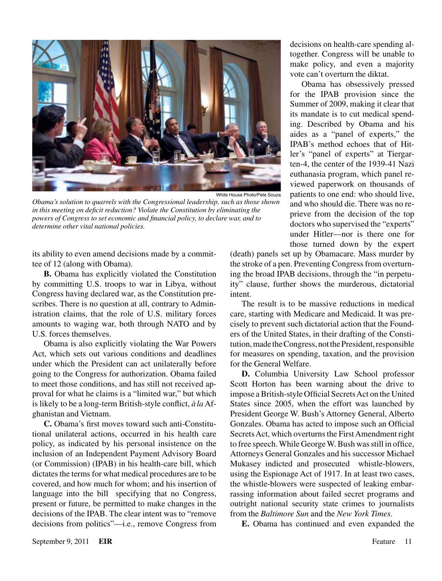

*Obama's solution to quarrels with the Congressional leadership, such as those shown in this meeting on deficit reduction? Violate the Constitution by eliminating the powers of Congress to set economic and financial policy, to declare war, and to determine other vital national policies.*

its ability to even amend decisions made by a committee of 12 (along with Obama).

**B.** Obama has explicitly violated the Constitution by committing U.S. troops to war in Libya, without Congress having declared war, as the Constitution prescribes. There is no question at all, contrary to Administration claims, that the role of U.S. military forces amounts to waging war, both through NATO and by U.S. forces themselves.

Obama is also explicitly violating the War Powers Act, which sets out various conditions and deadlines under which the President can act unilaterally before going to the Congress for authorization. Obama failed to meet those conditions, and has still not received approval for what he claims is a "limited war," but which is likely to be a long-term British-style conflict, *àla* Afghanistan and Vietnam.

**C.** Obama's first moves toward such anti-Constitutional unilateral actions, occurred in his health care policy, as indicated by his personal insistence on the inclusion of an Independent Payment Advisory Board (or Commission) (IPAB) in his health-care bill, which dictates the terms for what medical procedures are to be covered, and how much for whom; and his insertion of language into the bill specifying that no Congress, present or future, be permitted to make changes in the decisions of the IPAB. The clear intent was to "remove decisions from politics"—i.e., remove Congress from decisions on health-care spending altogether. Congress will be unable to make policy, and even a majority vote can't overturn the diktat.

Obama has obsessively pressed for the IPAB provision since the Summer of 2009, making it clear that its mandate is to cut medical spending. Described by Obama and his aides as a "panel of experts," the IPAB's method echoes that of Hitler's "panel of experts" at Tiergarten-4, the center of the 1939-41 Nazi euthanasia program, which panel reviewed paperwork on thousands of patients to one end: who should live, and who should die. There was no reprieve from the decision of the top doctors who supervised the "experts" under Hitler—nor is there one for those turned down by the expert

(death) panels set up by Obamacare. Mass murder by the stroke of a pen. Preventing Congress from overturning the broad IPAB decisions, through the "in perpetuity" clause, further shows the murderous, dictatorial intent.

The result is to be massive reductions in medical care, starting with Medicare and Medicaid. It was precisely to prevent such dictatorial action that the Founders of the United States, in their drafting of the Constitution, made the Congress, not the President, responsible for measures on spending, taxation, and the provision for the General Welfare.

**D.** Columbia University Law School professor Scott Horton has been warning about the drive to impose a British-style Official Secrets Act on the United States since 2005, when the effort was launched by President George W. Bush's Attorney General, Alberto Gonzales. Obama has acted to impose such an Official Secrets Act, which overturns the First Amendment right to free speech. While George W. Bush was still in office, Attorneys General Gonzales and his successor Michael Mukasey indicted and prosecuted whistle-blowers, using the Espionage Act of 1917. In at least two cases, the whistle-blowers were suspected of leaking embarrassing information about failed secret programs and outright national security state crimes to journalists from the *Baltimore Sun* and the *New York Times*.

**E.** Obama has continued and even expanded the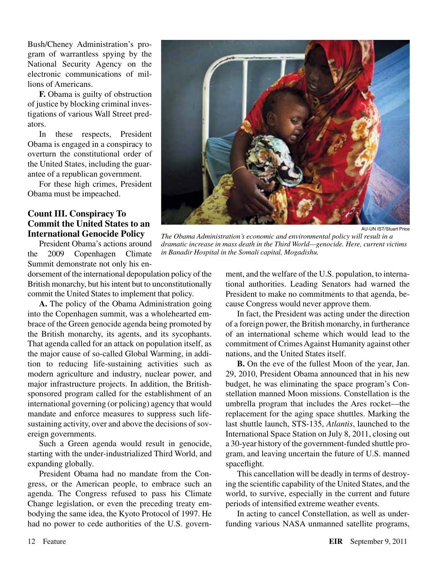Bush/Cheney Administration's program of warrantless spying by the National Security Agency on the electronic communications of millions of Americans.

**F.** Obama is guilty of obstruction of justice by blocking criminal investigations of various Wall Street predators.

In these respects, President Obama is engaged in a conspiracy to overturn the constitutional order of the United States, including the guarantee of a republican government.

For these high crimes, President Obama must be impeached.

#### **Count III. Conspiracy To Commit the United States to an International Genocide Policy**

President Obama's actions around the 2009 Copenhagen Climate Summit demonstrate not only his en-

dorsement of the international depopulation policy of the British monarchy, but his intent but to unconstitutionally commit the United States to implement that policy.

**A.** The policy of the Obama Administration going into the Copenhagen summit, was a wholehearted embrace of the Green genocide agenda being promoted by the British monarchy, its agents, and its sycophants. That agenda called for an attack on population itself, as the major cause of so-called Global Warming, in addition to reducing life-sustaining activities such as modern agriculture and industry, nuclear power, and major infrastructure projects. In addition, the Britishsponsored program called for the establishment of an international governing (or policing) agency that would mandate and enforce measures to suppress such lifesustaining activity, over and above the decisions of sovereign governments.

Such a Green agenda would result in genocide, starting with the under-industrialized Third World, and expanding globally.

President Obama had no mandate from the Congress, or the American people, to embrace such an agenda. The Congress refused to pass his Climate Change legislation, or even the preceding treaty embodying the same idea, the Kyoto Protocol of 1997. He had no power to cede authorities of the U.S. govern-



AU-UN IST/Stuart Price

*The Obama Administration's economic and environmental policy will result in a dramatic increase in mass death in the Third World—genocide. Here, current victims in Banadir Hospital in the Somali capital, Mogadishu.*

ment, and the welfare of the U.S. population, to international authorities. Leading Senators had warned the President to make no commitments to that agenda, because Congress would never approve them.

In fact, the President was acting under the direction of a foreign power, the British monarchy, in furtherance of an international scheme which would lead to the commitment of Crimes Against Humanity against other nations, and the United States itself.

**B.** On the eve of the fullest Moon of the year, Jan. 29, 2010, President Obama announced that in his new budget, he was eliminating the space program's Constellation manned Moon missions. Constellation is the umbrella program that includes the Ares rocket—the replacement for the aging space shuttles. Marking the last shuttle launch, STS-135, *Atlantis*, launched to the International Space Station on July 8, 2011, closing out a 30-year history of the government-funded shuttle program, and leaving uncertain the future of U.S. manned spaceflight.

This cancellation will be deadly in terms of destroying the scientific capability of the United States, and the world, to survive, especially in the current and future periods of intensified extreme weather events.

In acting to cancel Constellation, as well as underfunding various NASA unmanned satellite programs,